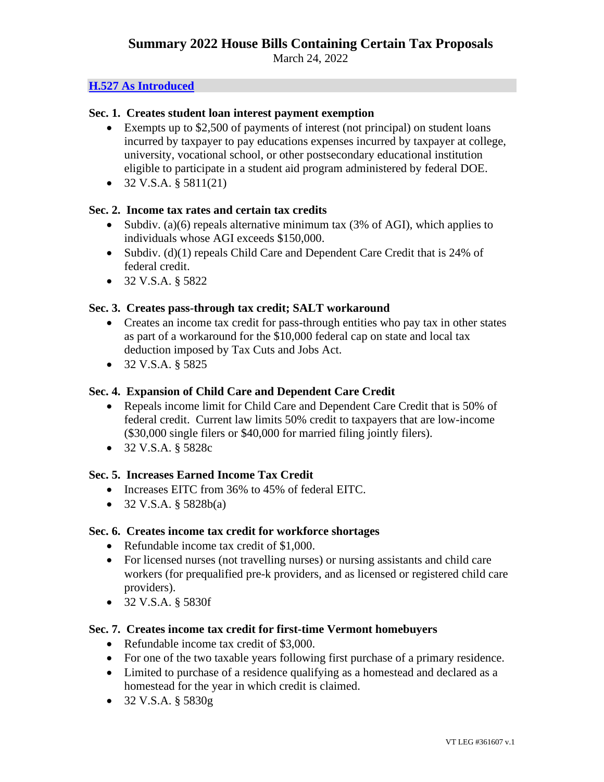March 24, 2022

## **[H.527 As Introduced](https://legislature.vermont.gov/Documents/2022/Docs/BILLS/H-0527/H-0527%20As%20Introduced.pdf)**

## **Sec. 1. Creates student loan interest payment exemption**

- Exempts up to \$2,500 of payments of interest (not principal) on student loans incurred by taxpayer to pay educations expenses incurred by taxpayer at college, university, vocational school, or other postsecondary educational institution eligible to participate in a student aid program administered by federal DOE.
- $32 \text{ V.S.A. }$ §  $5811(21)$

# **Sec. 2. Income tax rates and certain tax credits**

- Subdiv. (a)(6) repeals alternative minimum tax (3% of AGI), which applies to individuals whose AGI exceeds \$150,000.
- Subdiv. (d)(1) repeals Child Care and Dependent Care Credit that is 24% of federal credit.
- 32 V.S.A. § 5822

# **Sec. 3. Creates pass-through tax credit; SALT workaround**

- Creates an income tax credit for pass-through entities who pay tax in other states as part of a workaround for the \$10,000 federal cap on state and local tax deduction imposed by Tax Cuts and Jobs Act.
- 32 V.S.A. § 5825

# **Sec. 4. Expansion of Child Care and Dependent Care Credit**

- Repeals income limit for Child Care and Dependent Care Credit that is 50% of federal credit. Current law limits 50% credit to taxpayers that are low-income (\$30,000 single filers or \$40,000 for married filing jointly filers).
- 32 V.S.A. § 5828c

## **Sec. 5. Increases Earned Income Tax Credit**

- Increases EITC from 36% to 45% of federal EITC.
- 32 V.S.A.  $\S$  5828b(a)

## **Sec. 6. Creates income tax credit for workforce shortages**

- Refundable income tax credit of \$1,000.
- For licensed nurses (not travelling nurses) or nursing assistants and child care workers (for prequalified pre-k providers, and as licensed or registered child care providers).
- 32 V.S.A. § 5830f

## **Sec. 7. Creates income tax credit for first-time Vermont homebuyers**

- Refundable income tax credit of \$3,000.
- For one of the two taxable years following first purchase of a primary residence.
- Limited to purchase of a residence qualifying as a homestead and declared as a homestead for the year in which credit is claimed.
- 32 V.S.A. § 5830g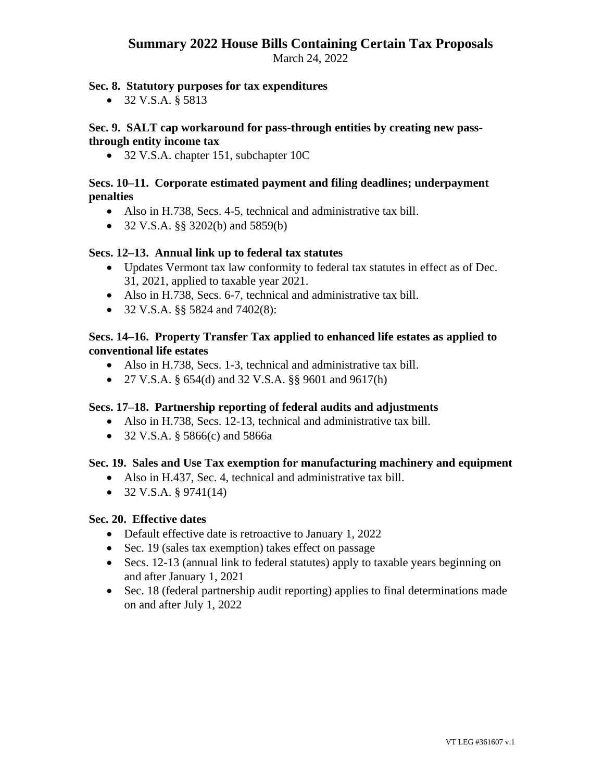# **Summary 2022 House Bills Containing Certain Tax Proposals**

March 24, 2022

# **Sec. 8. Statutory purposes for tax expenditures**

• 32 V.S.A. § 5813

## **Sec. 9. SALT cap workaround for pass-through entities by creating new passthrough entity income tax**

• 32 V.S.A. chapter 151, subchapter 10C

## **Secs. 10–11. Corporate estimated payment and filing deadlines; underpayment penalties**

- Also in H.738, Secs. 4-5, technical and administrative tax bill.
- 32 V.S.A. §§ 3202(b) and 5859(b)

## **Secs. 12–13. Annual link up to federal tax statutes**

- Updates Vermont tax law conformity to federal tax statutes in effect as of Dec. 31, 2021, applied to taxable year 2021.
- Also in H.738, Secs. 6-7, technical and administrative tax bill.
- 32 V.S.A. §§ 5824 and 7402(8):

# **Secs. 14–16. Property Transfer Tax applied to enhanced life estates as applied to conventional life estates**

- Also in H.738, Secs. 1-3, technical and administrative tax bill.
- 27 V.S.A. § 654(d) and 32 V.S.A. §§ 9601 and 9617(h)

## **Secs. 17–18. Partnership reporting of federal audits and adjustments**

- Also in H.738, Secs. 12-13, technical and administrative tax bill.
- 32 V.S.A. § 5866(c) and 5866a

## **Sec. 19. Sales and Use Tax exemption for manufacturing machinery and equipment**

- Also in H.437, Sec. 4, technical and administrative tax bill.
- $32 \text{ V.S.A. }$  \$9741(14)

## **Sec. 20. Effective dates**

- Default effective date is retroactive to January 1, 2022
- Sec. 19 (sales tax exemption) takes effect on passage
- Secs. 12-13 (annual link to federal statutes) apply to taxable years beginning on and after January 1, 2021
- Sec. 18 (federal partnership audit reporting) applies to final determinations made on and after July 1, 2022